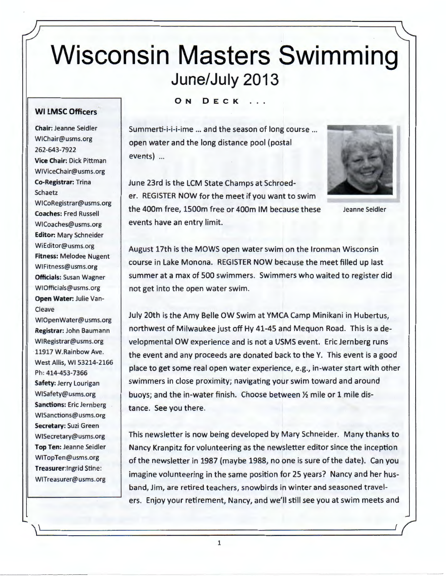# Wisconsin Masters Swimming June/July 2013

#### **WI LMSC Officers**

**Chair:** Jeanne Seidler WIChair@usms.org 262-643-7922 **Vice Chair:** Dick Pittman WIViceChair@usms.org **Co-Registrar:** Trina Schaetz WICoRegistrar@usms.org **Coaches:** Fred Russell WICoaches@usms.org **Editor:** Mary Schneider WiEditor@usms.org **Fitness:** Melodee Nugent WIFitness@usms.org **Officials:** Susan Wagner WIOfficials@usms.org **Open Water:** Julie Van-Cleave WIOpenWater@usms.org **Registrar:** John Baumann WIRegistrar@usms.org

11917 W.Rainbow Ave. West Allis, WI 53214-2166 Ph: 414-453-7366 **Safety:** Jerry Lourigan WISafety@usms.org **Sanctions:** Eric Jernberg WISanctions@usms.org **Secretary:** Suzi Green WISecretary@usms.org **Top Ten:** Jeanne Seidler WITopTen@usms.org **Treasurer:lngrid** Stine: WITreasurer@usms.org

**ON DECK** 

Summerti-i-i-i-ime ... and the season of long course ... open water and the long distance pool (postal events) ...

June 23rd is the LCM State Champs at Schroeder. REGISTER NOW for the meet if you want to swim the 400m free, 1500m free or 400m IM because these events have an entry limit.



Jeanne Seidler

August 17th is the MOWS open water swim on the lronman Wisconsin course in Lake Monona. REGISTER NOW because the meet filled up last summer at a max of 500 swimmers. Swimmers who waited to register did not get into the open water swim.

July 20th is the Amy Belle OW Swim at YMCA Camp Minikani in Hubertus, northwest of Milwaukee just off Hy 41-45 and Mequon Road. This is a developmental OW experience and is not a USMS event. Eric Jernberg runs the event and any proceeds are donated back to the Y. This event is a good place to get some real open water experience, e.g., in-water start with other swimmers in close proximity; navigating your swim toward and around buoys; and the in-water finish. Choose between½ mile or 1 mile distance. See you there.

This newsletter is now being developed by Mary Schneider. Many thanks to Nancy Kranpitz for volunteering as the newsletter editor since the inception of the newsletter in 1987 (maybe 1988, no one is sure of the date). Can you imagine volunteering in the same position for 25 years? Nancy and her husband, Jim, are retired teachers, snowbirds in winter and seasoned travelers. Enjoy your retirement, Nancy, and we'll still see you at swim meets and

1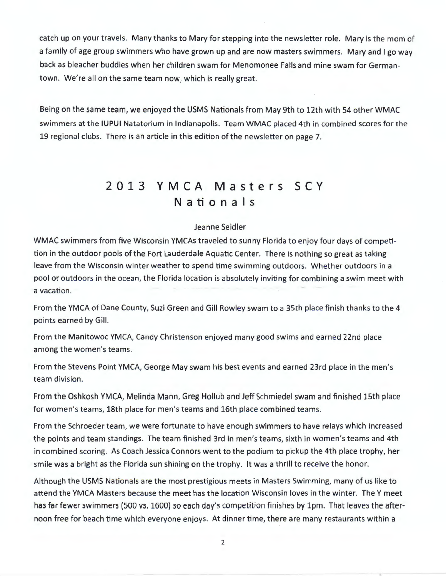catch up on your travels. Many thanks to Mary for stepping into the newsletter role. Mary is the mom of a family of age group swimmers who have grown up and are now masters swimmers. Mary and I go way back as bleacher buddies when her children swam for Menomonee Falls and mine swam for Germantown. We're all on the same team now, which is really great.

Being on the same team, we enjoyed the USMS Nationals from May 9th to 12th with 54 other WMAC swimmers at the IUPUI Natatorium in Indianapolis. Team WMAC placed 4th in combined scores for the 19 regional clubs. There is an article in this edition of the newsletter on page 7.

# **2013 YMCA Masters SCY Nationals**

#### Jeanne Seidler

WMAC swimmers from five Wisconsin YMCAs traveled to sunny Florida to enjoy four days of competition in the outdoor pools of the Fort Lauderdale Aquatic Center. There is nothing so great as taking leave from the Wisconsin winter weather to spend time swimming outdoors. Whether outdoors in a pool or outdoors in the ocean, the Florida location is absolutely inviting for combining a swim meet with a vacation.

From the YMCA of Dane County, Suzi Green and Gill Rowley swam to a 35th place finish thanks to the 4 points earned by Gill.

From the Manitowoc YMCA, Candy Christenson enjoyed many good swims and earned 22nd place among the women's teams.

From the Stevens Point YMCA, George May swam his best events and earned 23rd place in the men's team division.

From the Oshkosh YMCA, Melinda Mann, Greg Hollub and Jeff Schmiedel swam and finished 15th place for women's teams, 18th place for men's teams and 16th place combined teams.

From the Schroeder team, we were fortunate to have enough swimmers to have relays which increased the points and team standings. The team finished 3rd in men's teams, sixth in women's teams and 4th in combined scoring. As Coach Jessica Connors went to the podium to pickup the 4th place trophy, her smile was a bright as the Florida sun shining on the trophy. It was a thrill to receive the honor.

Although the USMS Nationals are the most prestigious meets in Masters Swimming, many of us like to attend the YMCA Masters because the meet has the location Wisconsin loves in the winter. The Y meet has far fewer swimmers (500 vs. 1600) so each day's competition finishes by 1pm. That leaves the afternoon free for beach time which everyone enjoys. At dinner time, there are many restaurants within a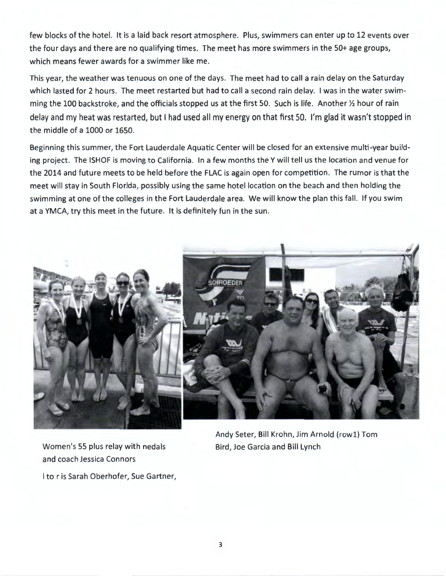few blocks of the hotel. It is a laid back resort atmosphere. Plus, swimmers can enter up to 12 events over the four days and there are no qualifying times. The meet has more swimmers in the 50+ age groups, which means fewer awards for a swimmer like me.

This year, the weather was tenuous on one of the days. The meet had to call a rain delay on the Saturday which lasted for 2 hours. The meet restarted but had to call a second rain delay. I was in the water swimming the 100 backstroke, and the officials stopped us at the first 50. Such is life. Another½ hour of rain delay and my heat was restarted, but I had used all my energy on that first 50. I'm glad it wasn't stopped in the middle of a 1000 or 1650.

Beginning this summer, the Fort Lauderdale Aquatic Center will be closed for an extensive multi-year building project. The ISHOF is moving to California. In a few months the Y will tell us the location and venue for the 2014 and future meets to be held before the FLAC is again open for competition. The rumor is that the meet will stay in South Florida, possibly using the same hotel location on the beach and then holding the swimming at one of the colleges in the Fort Lauderdale area . We will know the plan this fall. If you swim at a YMCA, try this meet in the future. It is definitely fun in the sun.





Women's 55 plus relay with nedals and coach Jessica Connors

I to r is Sarah Oberhofer, Sue Gartner,

Andy Seter, Bill Krohn, Jim Arnold (rowl) Tom Bird, Joe Garcia and Bill Lynch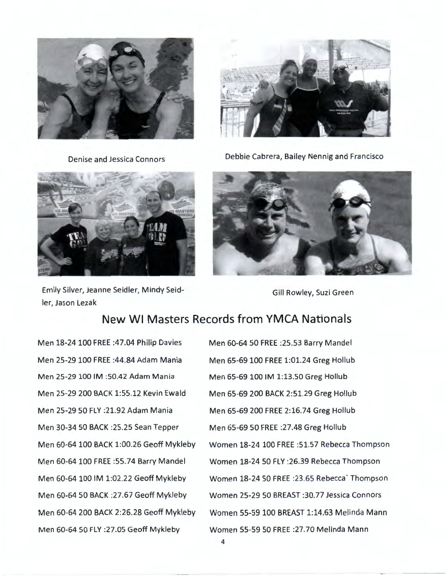

Denise and Jessica Connors



Debbie Cabrera, Bailey Nennig and Francisco





Emily Silver, Jeanne Seidler, Mindy Seidler, Jason Lezak

Gill Rowley, Suzi Green

### **New WI Masters Records from YMCA Nationals**

Men 18-24 100 FREE :47.04 Philip Davies Men 60-64 50 FREE :25.53 Barry Mandel Men 25-29 100 FREE :44.84 Adam Mania Men 65-69 100 FREE 1:01.24 Greg Hollub Men 25-29 100 IM :50.42 Adam Mania Men 65-69 100 IM 1:13.50 Greg Hollub Men 25-29 200 BACK 1:55.12 Kevin Ewald Men 65-69 200 BACK 2:51.29 Greg Hollub Men 25-29 50 FLY :21.92 Adam Mania Men 65-69 200 FREE 2:16.74 Greg Hollub Men 30-34 50 BACK :25.25 Sean Tepper Men 65-69 50 FREE :27.48 Greg Hollub

Men 60-64100 BACK 1:00.26 Geoff Mykleby Women 18-24 100 FREE :51.57 Rebecca Thompson Men 60-64100 FREE :55.74 Barry Mandel Women 18-24 50 FLY :26.39 Rebecca Thompson Men 60-64100 IM 1:02.22 Geoff Mykleby Women 18-24 50 FREE :23.65 Rebecca ' Thompson Men 60-64 50 BACK :27.67 Geoff Mykleby Women 25-29 50 BREAST :30.77 Jessica Connors Men 60-64 200 BACK 2:26.28 Geoff Mykleby Women 55-59 100 BREAST 1:14.63 Melinda Mann Men 60-64 50 FLY :27.05 Geoff Mykleby Women 55-59 50 FREE :27.70 Melinda Mann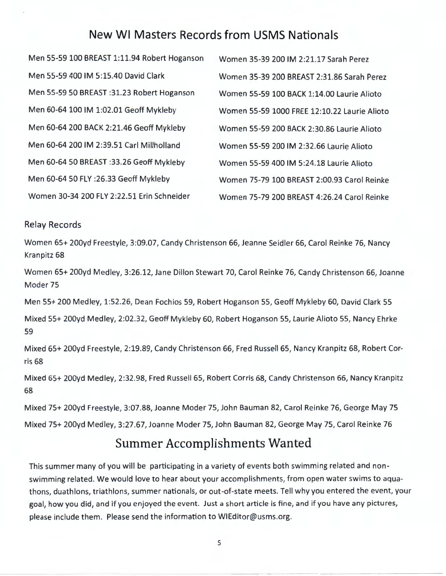### **New WI Masters Records from USMS Nationals**

Men 55-59 100 BREAST 1:11.94 Robert Hoganson Men 55-59 400 IM 5:15.40 David Clark Men 55-59 50 BREAST :31.23 Robert Hoganson Men 60-64100 IM 1:02.01 Geoff Mykleby Men 60-64 200 BACK 2:21.46 Geoff Mykleby Men 60-64 200 IM 2:39.51 Carl Millholland Men 60-64 50 BREAST :33.26 Geoff Mykleby Men 60-64 50 FLY :26.33 Geoff Mykleby Women 30-34 200 FLY 2:22.51 Erin Schneider

Women 35-39 200 IM 2:21.17 Sarah Perez Women 35-39 200 BREAST 2:31.86 Sarah Perez Women 55-59 100 BACK 1:14.00 Laurie Alioto Women 55-59 1000 FREE 12:10.22 Laurie Alioto Women 55-59 200 BACK 2:30.86 Laurie Alioto Women 55-59 200 IM 2:32.66 Laurie Alioto Women 55-59 400 IM 5:24.18 Laurie Alioto Women 75-79 100 BREAST 2:00.93 Carol Reinke Women 75-79 200 BREAST 4:26.24 Carol Reinke

#### Relay Records

Women 65+ 200yd Freestyle, 3:09.07, Candy Christenson 66, Jeanne Seidler 66, Carol Reinke 76, Nancy Kranpitz 68

Women 65+ 200yd Medley, 3:26.12, Jane Dillon Stewart 70, Carol Reinke 76, Candy Christenson 66, Joanne Moder 75

Men 55+ 200 Medley, 1:52.26, Dean Fochios 59, Robert Hoganson 55, Geoff Mykleby 60, David Clark 55

Mixed 55+ 200yd Medley, 2:02.32, Geoff Mykleby 60, Robert Hoganson 55, Laurie Alioto 55, Nancy Ehrke 59

Mixed 65+ 200yd Freestyle, 2:19.89, Candy Christenson 66, Fred Russell 65, Nancy Kranpitz 68, Robert (orris 68

Mixed 65+ 200yd Medley, 2:32.98, Fred Russell 65, Robert Corris 68, Candy Christenson 66, Nancy Kranpitz 68

Mixed 75+ 200yd Freestyle, 3:07.88, Joanne Moder 75, John Bauman 82, Carol Reinke 76, George May 75

Mixed 75+ 200yd Medley, 3:27.67, Joanne Moder 75, John Bauman 82, George May 75, Carol Reinke 76

### **Summer Accomplishments Wanted**

This summer many of you will be participating in a variety of events both swimming related and nonswimming related. We would love to hear about your accomplishments, from open water swims to aquathons, duathlons, triathlons, summer nationals, or out-of-state meets. Tell why you entered the event, your goal, how you did, and if you enjoyed the event. Just a short article is fine, and if you have any pictures, please include them. Please send the information to WIEditor@usms.org.

5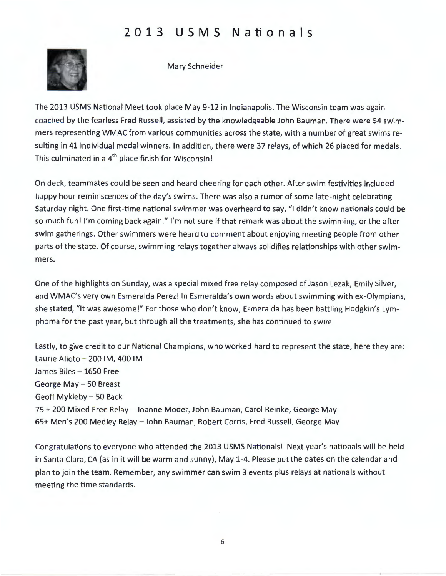## **2013 USMS Nationals**



Mary Schneider

The 2013 USMS National Meet took place May 9-12 in Indianapolis. The Wisconsin team was again coached by the fearless Fred Russell, assisted by the knowledgeable John Bauman. There were 54 swimmers representing WMAC from various communities across the state, with a number of great swims resulting in 41 individual medal winners. In addition, there were 37 relays, of which 26 placed for medals. This culminated in a  $4<sup>th</sup>$  place finish for Wisconsin!

On deck, teammates could be seen and heard cheering for each other. After swim festivities included happy hour reminiscences of the day's swims. There was also a rumor of some late-night celebrating Saturday night. One first-time national swimmer was overheard to say, "I didn't know nationals could be so much fun! I'm coming back again." I'm not sure if that remark was about the swimming, or the after swim gatherings. Other swimmers were heard to comment about enjoying meeting people from other parts of the state. Of course, swimming relays together always solidifies relationships with other swimmers.

One of the highlights on Sunday, was a special mixed free relay composed of Jason Lezak, Emily Silver, and WMAC's very own Esmeralda Perez! In Esmeralda's own words about swimming with ex-Olympians, she stated, "It was awesome!" For those who don't know, Esmeralda has been battling Hodgkin's Lymphoma for the past year, but through all the treatments, she has continued to swim.

Lastly, to give credit to our National Champions, who worked hard to represent the state, here they are: Laurie Alioto - 200 IM, 400 IM James Biles - 1650 Free George May - 50 Breast Geoff Mykleby - 50 Back 75 + 200 Mixed Free Relay-Joanne Moder, John Bauman, Carol Reinke, George May 65+ Men's 200 Medley Relay-John Bauman, Robert Carris, Fred Russell, George May

Congratulations to everyone who attended the 2013 USMS Nationals! Next year's nationals will be held in Santa Clara, CA (as in it will be warm and sunny), May 1-4. Please put the dates on the calendar and plan to join the team. Remember, any swimmer can swim 3 events plus relays at nationals without meeting the time standards.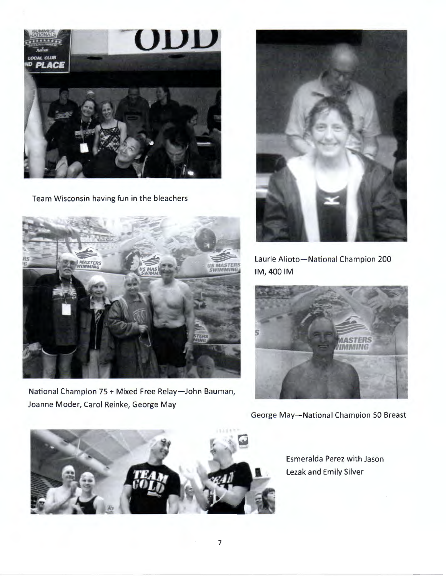

Team Wisconsin having fun in the bleachers



National Champion 75 + Mixed Free Relay-John Bauman, Joanne Moder, Carol Reinke, George May



Laurie Alioto-National Champion 200 **IM,4001M** 



George May-National Champion 50 Breast



Esmeralda Perez with Jason Lezak and Emily Silver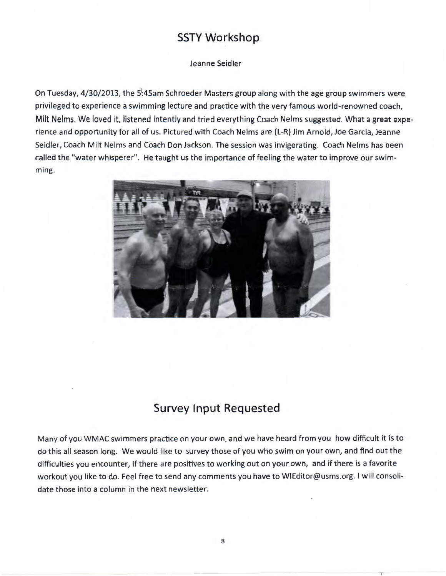### **SSTY Workshop**

#### Jeanne Seidler

On Tuesday, 4/30/2013, the 5:45am Schroeder Masters group along with the age group swimmers were privileged to experience a swimming lecture and practice with the very famous world-renowned coach, Milt Nelms. We loved it, listened intently and tried everything Coach Nelms suggested. What a great experience and opportunity for all of us. Pictured with Coach Nelms are (L-R) Jim Arnold, Joe Garcia, Jeanne Seidler, Coach Milt Nelms and Coach Don Jackson. The session was invigorating. Coach Nelms has been called the "water whisperer". He taught us the importance of feeling the water to improve our swimming.



### **Survey Input Requested**

Many of you WMAC swimmers practice on your own, and we have heard from you how difficult it is to do this all season long. We would like to survey those of you who swim on your own, and find out the difficulties you encounter, if there are positives to working out on your own, and if there is a favorite workout you like to do. Feel free to send any comments you have to WIEditor@usms.org. I will consolidate those into a column in the next newsletter.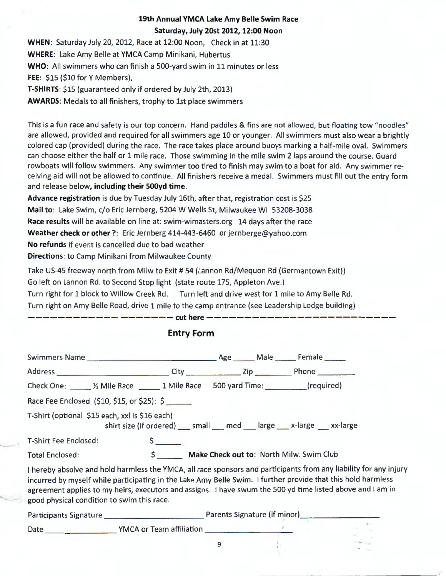#### **19th Annual YMCA Lake Amy Belle Swim Race Saturday, July 20st 2012, 12:00 Noon**

**WHEN:** Saturday July 20, 2012, Race at 12:00 Noon, Check in at 11:30 **WHERE:** Lake Amy Belle at YMCA Camp Minikani, Hubertus **WHO:** All swimmers who can finish a 500-yard swim in 11 minutes or less **FEE:** \$15 (\$10 for Y Members), **T-SHIRTS:** \$15 (guaranteed only if ordered by July 2th, 2013) **AWARDS:** Medals to all finishers, trophy to 1st place swimmers

This is a fun race and safety is our top concern. Hand paddles & fins are not allowed, but floating tow "noodles" are allowed, provided and required for all swimmers age 10 or younger. All swimmers must also wear a brightly colored cap (provided) during the race. The race takes place around buoys marking a half-mile oval. Swimmers can choose either the half or 1 mile race. Those swimming in the mile swim 2 laps around the course. Guard rowboats will follow swimmers. Any swimmer too tired to finish may swim to a boat for aid. Any swimmer receiving aid will not be allowed to continue. All finishers receive a medal. Swimmers must fill out the entry form and release below, **including their 500yd time.** 

**Advance registration** is due by Tuesday July 16th, after that, registration cost is \$25 **Mail to:** Lake Swim, c/o Eric Jernberg, 5204 W Wells St, Milwaukee WI 53208-3038 **Race results** will be available on line at: swim-wimasters.org 14 days after the race **Weather check or other?:** Eric Jernberg 414-443-6460 or jernberge@yahoo.com **No refunds** if event is cancelled due to bad weather **Directions:** to Camp Minikani from Milwaukee County

Take US-45 freeway north from Milw to Exit # 54 (Lannon Rd/Mequon Rd (Germantown Exit)) Go left on Lannon Rd. to Second Stop light (state route 175, Appleton Ave.) Turn right for 1 block to Willow Creek Rd. Turn left and drive west for 1 mile to Amy Belle Rd. Turn right on Amy Belle Road, drive 1 mile to the camp entrance (see Leadership Lodge building) **-------------------c~here-------------------------**

| Check One: 1 Mile Race 1 Mile Race 500 yard Time: _________(required)                                                                                                                                                                                                                                                                                                                         |                                                                                  |                                             |  |
|-----------------------------------------------------------------------------------------------------------------------------------------------------------------------------------------------------------------------------------------------------------------------------------------------------------------------------------------------------------------------------------------------|----------------------------------------------------------------------------------|---------------------------------------------|--|
| Race Fee Enclosed (\$10, \$15, or \$25): \$                                                                                                                                                                                                                                                                                                                                                   |                                                                                  |                                             |  |
| T-Shirt (optional \$15 each, xxl is \$16 each)<br>shirt size (if ordered) ___ small ___ med ___ large ___ x-large ___ xx-large                                                                                                                                                                                                                                                                |                                                                                  |                                             |  |
| T-Shirt Fee Enclosed:                                                                                                                                                                                                                                                                                                                                                                         | $\mathsf{S}$                                                                     |                                             |  |
| <b>Total Enclosed:</b>                                                                                                                                                                                                                                                                                                                                                                        |                                                                                  | \$ Make Check out to: North Milw. Swim Club |  |
| I hereby absolve and hold harmless the YMCA, all race sponsors and participants from any liability for any injury<br>incurred by myself while participating in the Lake Amy Belle Swim. I further provide that this hold harmless<br>agreement applies to my heirs, executors and assigns. I have swum the 500 yd time listed above and I am in<br>good physical condition to swim this race. |                                                                                  |                                             |  |
|                                                                                                                                                                                                                                                                                                                                                                                               | Participants Signature Parents Signature (if minor) Parents Signature (if minor) |                                             |  |
|                                                                                                                                                                                                                                                                                                                                                                                               |                                                                                  |                                             |  |

#### **Entry Form**